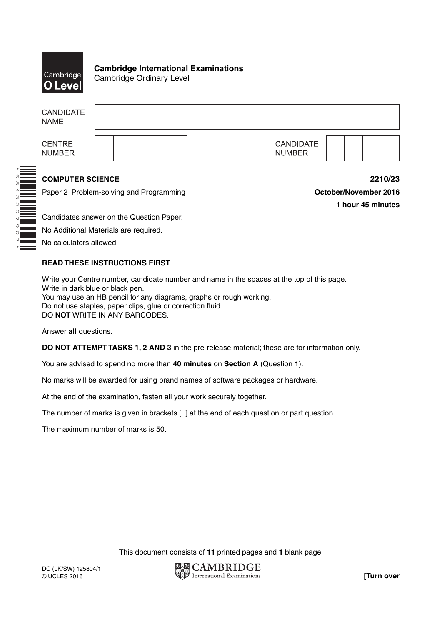

\*6543207907\*

**Cambridge International Examinations** Cambridge Ordinary Level

| <b>CANDIDATE</b><br><b>NAME</b>         |                                          |                                   |
|-----------------------------------------|------------------------------------------|-----------------------------------|
| <b>CENTRE</b><br><b>NUMBER</b>          |                                          | <b>CANDIDATE</b><br><b>NUMBER</b> |
| <b>COMPUTER SCIENCE</b>                 |                                          | 2210/23                           |
| Paper 2 Problem-solving and Programming |                                          | October/November 2016             |
|                                         |                                          | 1 hour 45 minutes                 |
|                                         | Candidates answer on the Question Paper. |                                   |
|                                         | No Additional Materials are required.    |                                   |
| No calculators allowed.                 |                                          |                                   |

No calculators allowed.

# **READ THESE INSTRUCTIONS FIRST**

Write your Centre number, candidate number and name in the spaces at the top of this page. Write in dark blue or black pen. You may use an HB pencil for any diagrams, graphs or rough working. Do not use staples, paper clips, glue or correction fluid. DO **NOT** WRITE IN ANY BARCODES.

Answer **all** questions.

**DO NOT ATTEMPT TASKS 1, 2 AND 3** in the pre-release material; these are for information only.

You are advised to spend no more than **40 minutes** on **Section A** (Question 1).

No marks will be awarded for using brand names of software packages or hardware.

At the end of the examination, fasten all your work securely together.

The number of marks is given in brackets [ ] at the end of each question or part question.

The maximum number of marks is 50.

This document consists of **11** printed pages and **1** blank page.

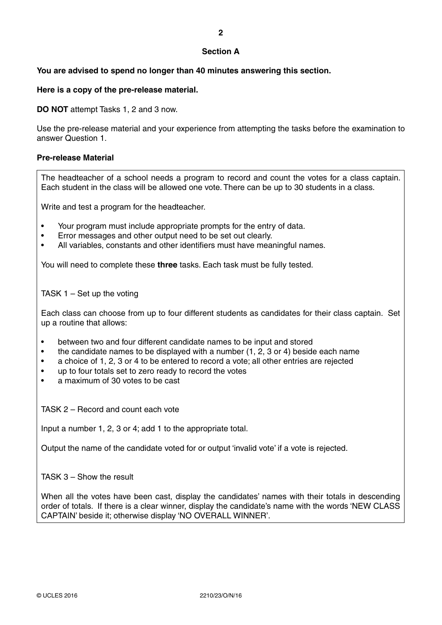## **Section A**

# **You are advised to spend no longer than 40 minutes answering this section.**

**Here is a copy of the pre-release material.**

**DO NOT** attempt Tasks 1, 2 and 3 now.

Use the pre-release material and your experience from attempting the tasks before the examination to answer Question 1.

### **Pre-release Material**

The headteacher of a school needs a program to record and count the votes for a class captain. Each student in the class will be allowed one vote. There can be up to 30 students in a class.

Write and test a program for the headteacher.

- Your program must include appropriate prompts for the entry of data.
- Error messages and other output need to be set out clearly.
- All variables, constants and other identifiers must have meaningful names.

You will need to complete these **three** tasks. Each task must be fully tested.

TASK 1 – Set up the voting

Each class can choose from up to four different students as candidates for their class captain. Set up a routine that allows:

- between two and four different candidate names to be input and stored
- the candidate names to be displayed with a number (1, 2, 3 or 4) beside each name
- a choice of 1, 2, 3 or 4 to be entered to record a vote; all other entries are rejected
- up to four totals set to zero ready to record the votes
- a maximum of 30 votes to be cast

TASK 2 – Record and count each vote

Input a number 1, 2, 3 or 4; add 1 to the appropriate total.

Output the name of the candidate voted for or output 'invalid vote' if a vote is rejected.

TASK 3 – Show the result

When all the votes have been cast, display the candidates' names with their totals in descending order of totals. If there is a clear winner, display the candidate's name with the words 'NEW CLASS CAPTAIN' beside it; otherwise display 'NO OVERALL WINNER'.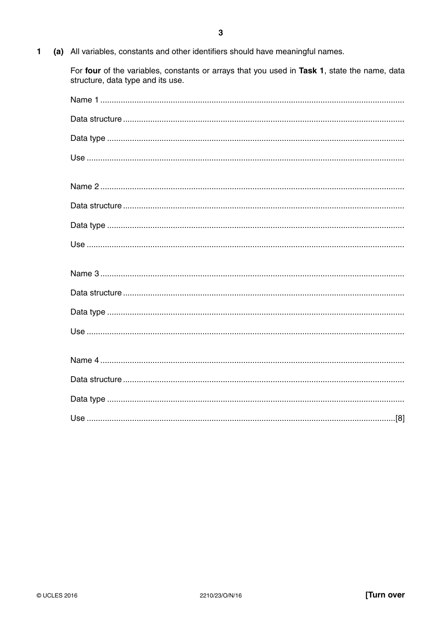$\mathbf{1}$ (a) All variables, constants and other identifiers should have meaningful names.

> For four of the variables, constants or arrays that you used in Task 1, state the name, data structure, data type and its use.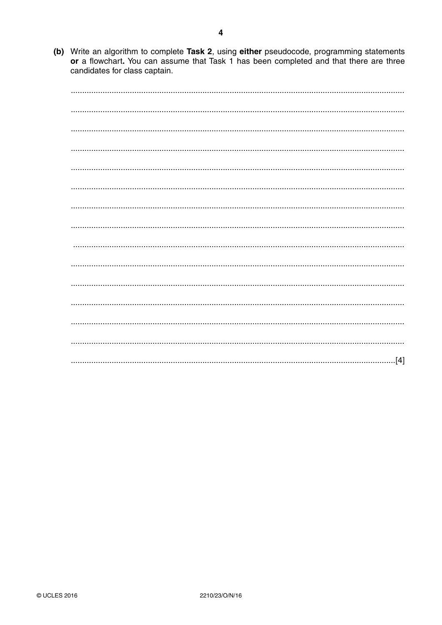(b) Write an algorithm to complete Task 2, using either pseudocode, programming statements or a flowchart. You can assume that Task 1 has been completed and that there are three candidates for class captain.

| [4] |
|-----|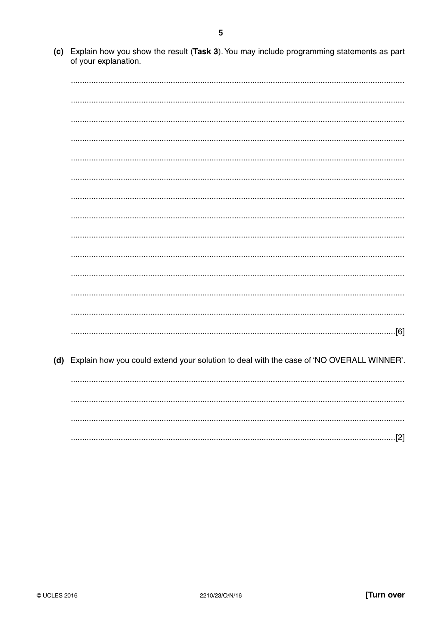(c) Explain how you show the result (Task 3). You may include programming statements as part of your explanation.

(d) Explain how you could extend your solution to deal with the case of 'NO OVERALL WINNER'.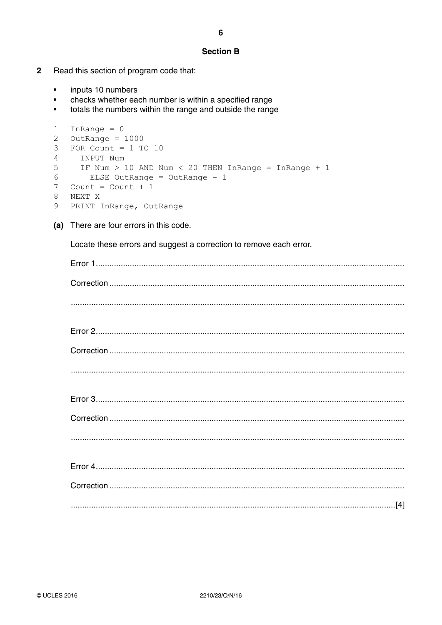## **Section B**

- $\overline{2}$ Read this section of program code that:
	- inputs 10 numbers  $\bullet$
	- checks whether each number is within a specified range  $\bullet$
	- totals the numbers within the range and outside the range  $\bullet$

```
1 InRange = 02 OutRange = 10003 FOR Count = 1 TO 10
\overline{4}INPUT Num
5
    IF Num > 10 AND Num < 20 THEN InRange = InRange + 1
6
      ELSE OutRange = OutRange - 1
7 Count = Count + 1
8 NEXT X
9 PRINT InRange, OutRange
```
(a) There are four errors in this code.

Locate these errors and suggest a correction to remove each error.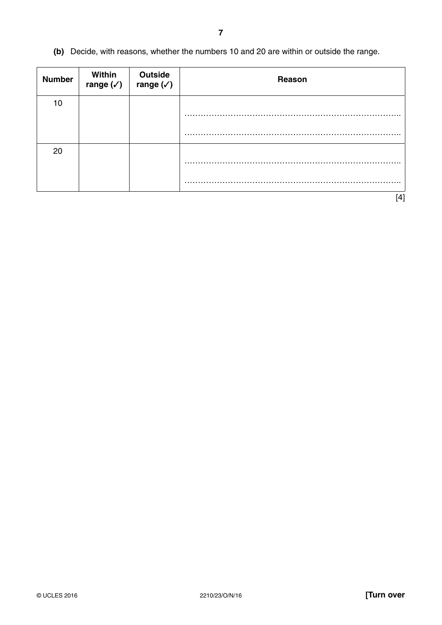**(b)** Decide, with reasons, whether the numbers 10 and 20 are within or outside the range.

| <b>Number</b> | Within<br>range $(\checkmark)$ | Outside<br>range $(\checkmark)$ | Reason |
|---------------|--------------------------------|---------------------------------|--------|
| 10            |                                |                                 | .      |
|               |                                |                                 | .<br>. |
| 20            |                                |                                 |        |
|               |                                |                                 |        |
|               |                                |                                 | [4]    |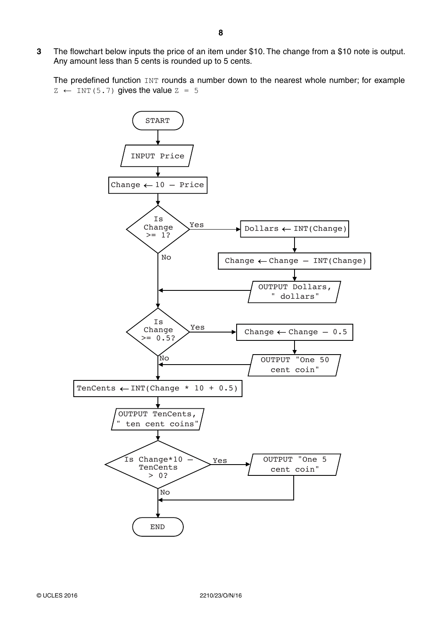**3** The flowchart below inputs the price of an item under \$10. The change from a \$10 note is output. Any amount less than 5 cents is rounded up to 5 cents.

The predefined function INT rounds a number down to the nearest whole number; for example  $Z \leftarrow \text{INT}(5.7)$  gives the value  $Z = 5$ 

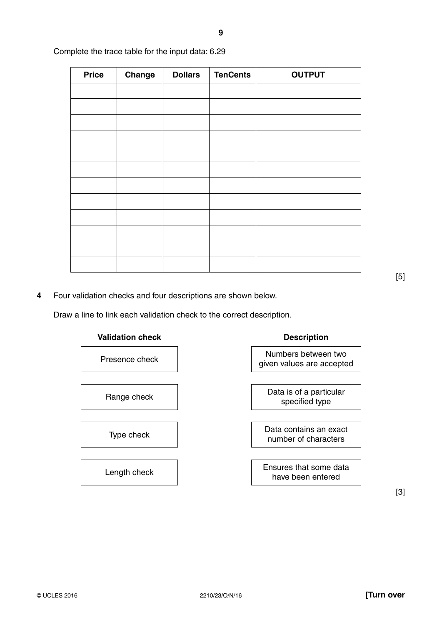| <b>Price</b> | Change | <b>Dollars</b> | <b>TenCents</b> | <b>OUTPUT</b> |
|--------------|--------|----------------|-----------------|---------------|
|              |        |                |                 |               |
|              |        |                |                 |               |
|              |        |                |                 |               |
|              |        |                |                 |               |
|              |        |                |                 |               |
|              |        |                |                 |               |
|              |        |                |                 |               |
|              |        |                |                 |               |
|              |        |                |                 |               |
|              |        |                |                 |               |
|              |        |                |                 |               |
|              |        |                |                 |               |

Complete the trace table for the input data: 6.29

**4** Four validation checks and four descriptions are shown below.

Draw a line to link each validation check to the correct description.





given values are accepted

specified type

Type check **Data contains an exact** number of characters

Length check **Ensures that some data** have been entered

[3]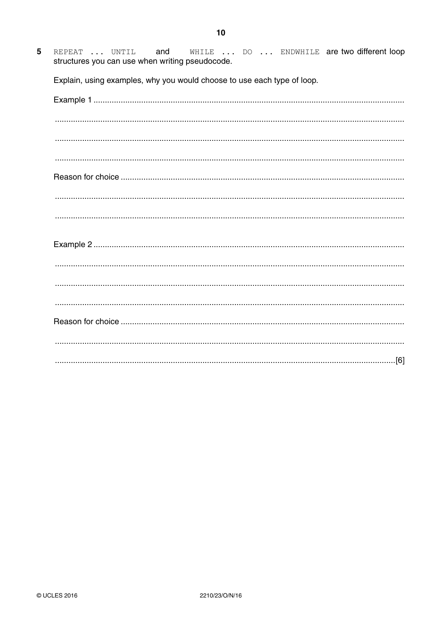WHILE ... DO ... ENDWHILE are two different loop  $5\phantom{.0}$ REPEAT ... UNTIL and structures you can use when writing pseudocode.

Explain, using examples, why you would choose to use each type of loop.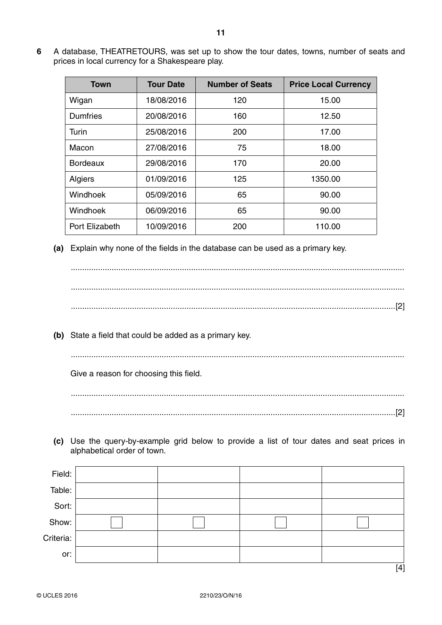**6** A database, THEATRETOURS, was set up to show the tour dates, towns, number of seats and prices in local currency for a Shakespeare play.

| Town            | <b>Tour Date</b> | <b>Number of Seats</b> | <b>Price Local Currency</b> |
|-----------------|------------------|------------------------|-----------------------------|
| Wigan           | 18/08/2016       | 120                    | 15.00                       |
| <b>Dumfries</b> | 20/08/2016       | 160                    | 12.50                       |
| Turin           | 25/08/2016       | 200                    | 17.00                       |
| Macon           | 27/08/2016       | 75                     | 18.00                       |
| <b>Bordeaux</b> | 29/08/2016       | 170                    | 20.00                       |
| Algiers         | 01/09/2016       | 125                    | 1350.00                     |
| Windhoek        | 05/09/2016       | 65                     | 90.00                       |
| Windhoek        | 06/09/2016       | 65                     | 90.00                       |
| Port Elizabeth  | 10/09/2016       | 200                    | 110.00                      |

 **(a)** Explain why none of the fields in the database can be used as a primary key.

 ................................................................................................................................................... ................................................................................................................................................... ...............................................................................................................................................[2]

 **(b)** State a field that could be added as a primary key.

...................................................................................................................................................

Give a reason for choosing this field.

 ................................................................................................................................................... ...............................................................................................................................................[2]

 **(c)** Use the query-by-example grid below to provide a list of tour dates and seat prices in alphabetical order of town.